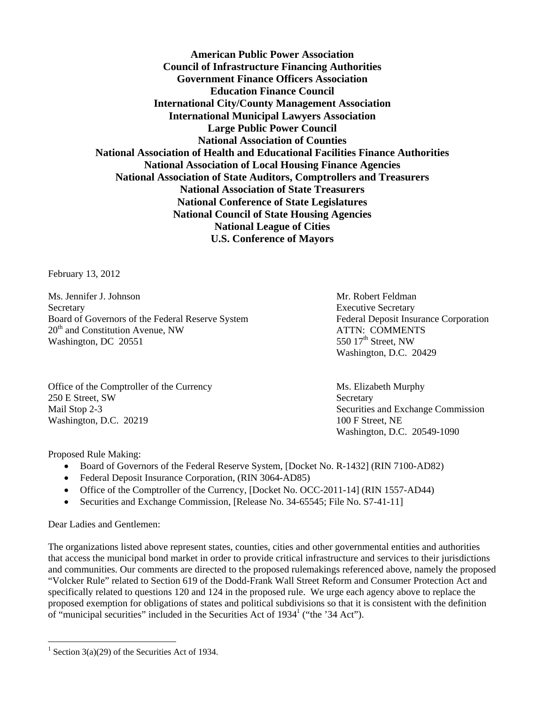**American Public Power Association Council of Infrastructure Financing Authorities Government Finance Officers Association Education Finance Council International City/County Management Association International Municipal Lawyers Association Large Public Power Council National Association of Counties National Association of Health and Educational Facilities Finance Authorities National Association of Local Housing Finance Agencies National Association of State Auditors, Comptrollers and Treasurers National Association of State Treasurers National Conference of State Legislatures National Council of State Housing Agencies National League of Cities U.S. Conference of Mayors** 

February 13, 2012

Ms. Jennifer J. Johnson Mr. Robert Feldman Secretary Executive Secretary Executive Secretary Executive Secretary Board of Governors of the Federal Reserve System Federal Deposit Insurance Corporation 20<sup>th</sup> and Constitution Avenue, NW ATTN: COMMENTS Washington, DC 20551  $\sim$  550 17<sup>th</sup> Street, NW

Office of the Comptroller of the Currency Ms. Elizabeth Murphy 250 E Street, SW Secretary Mail Stop 2-3 Securities and Exchange Commission Washington, D.C. 20219 100 F Street, NE

Washington, D.C. 20429

Washington, D.C. 20549-1090

Proposed Rule Making:

- Board of Governors of the Federal Reserve System, [Docket No. R-1432] (RIN 7100-AD82)
- Federal Deposit Insurance Corporation, (RIN 3064-AD85)
- Office of the Comptroller of the Currency, [Docket No. OCC-2011-14] (RIN 1557-AD44)
- Securities and Exchange Commission, [Release No. 34-65545; File No. S7-41-11]

Dear Ladies and Gentlemen:

 $\overline{a}$ 

The organizations listed above represent states, counties, cities and other governmental entities and authorities that access the municipal bond market in order to provide critical infrastructure and services to their jurisdictions and communities. Our comments are directed to the proposed rulemakings referenced above, namely the proposed "Volcker Rule" related to Section 619 of the Dodd-Frank Wall Street Reform and Consumer Protection Act and specifically related to questions 120 and 124 in the proposed rule. We urge each agency above to replace the proposed exemption for obligations of states and political subdivisions so that it is consistent with the definition of "municipal securities" included in the Securities Act of  $1934<sup>1</sup>$  ("the '34 Act").

<sup>&</sup>lt;sup>1</sup> Section 3(a)(29) of the Securities Act of 1934.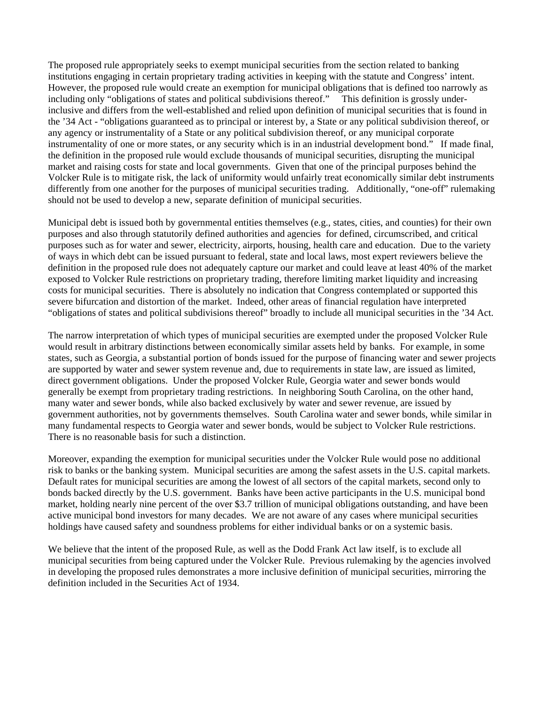The proposed rule appropriately seeks to exempt municipal securities from the section related to banking institutions engaging in certain proprietary trading activities in keeping with the statute and Congress' intent. However, the proposed rule would create an exemption for municipal obligations that is defined too narrowly as including only "obligations of states and political subdivisions thereof." This definition is grossly underinclusive and differs from the well-established and relied upon definition of municipal securities that is found in the '34 Act - "obligations guaranteed as to principal or interest by, a State or any political subdivision thereof, or any agency or instrumentality of a State or any political subdivision thereof, or any municipal corporate instrumentality of one or more states, or any security which is in an industrial development bond." If made final, the definition in the proposed rule would exclude thousands of municipal securities, disrupting the municipal market and raising costs for state and local governments. Given that one of the principal purposes behind the Volcker Rule is to mitigate risk, the lack of uniformity would unfairly treat economically similar debt instruments differently from one another for the purposes of municipal securities trading. Additionally, "one-off" rulemaking should not be used to develop a new, separate definition of municipal securities.

Municipal debt is issued both by governmental entities themselves (e.g., states, cities, and counties) for their own purposes and also through statutorily defined authorities and agencies for defined, circumscribed, and critical purposes such as for water and sewer, electricity, airports, housing, health care and education. Due to the variety of ways in which debt can be issued pursuant to federal, state and local laws, most expert reviewers believe the definition in the proposed rule does not adequately capture our market and could leave at least 40% of the market exposed to Volcker Rule restrictions on proprietary trading, therefore limiting market liquidity and increasing costs for municipal securities. There is absolutely no indication that Congress contemplated or supported this severe bifurcation and distortion of the market. Indeed, other areas of financial regulation have interpreted "obligations of states and political subdivisions thereof" broadly to include all municipal securities in the '34 Act.

The narrow interpretation of which types of municipal securities are exempted under the proposed Volcker Rule would result in arbitrary distinctions between economically similar assets held by banks. For example, in some states, such as Georgia, a substantial portion of bonds issued for the purpose of financing water and sewer projects are supported by water and sewer system revenue and, due to requirements in state law, are issued as limited, direct government obligations. Under the proposed Volcker Rule, Georgia water and sewer bonds would generally be exempt from proprietary trading restrictions. In neighboring South Carolina, on the other hand, many water and sewer bonds, while also backed exclusively by water and sewer revenue, are issued by government authorities, not by governments themselves. South Carolina water and sewer bonds, while similar in many fundamental respects to Georgia water and sewer bonds, would be subject to Volcker Rule restrictions. There is no reasonable basis for such a distinction.

Moreover, expanding the exemption for municipal securities under the Volcker Rule would pose no additional risk to banks or the banking system. Municipal securities are among the safest assets in the U.S. capital markets. Default rates for municipal securities are among the lowest of all sectors of the capital markets, second only to bonds backed directly by the U.S. government. Banks have been active participants in the U.S. municipal bond market, holding nearly nine percent of the over \$3.7 trillion of municipal obligations outstanding, and have been active municipal bond investors for many decades. We are not aware of any cases where municipal securities holdings have caused safety and soundness problems for either individual banks or on a systemic basis.

We believe that the intent of the proposed Rule, as well as the Dodd Frank Act law itself, is to exclude all municipal securities from being captured under the Volcker Rule. Previous rulemaking by the agencies involved in developing the proposed rules demonstrates a more inclusive definition of municipal securities, mirroring the definition included in the Securities Act of 1934.